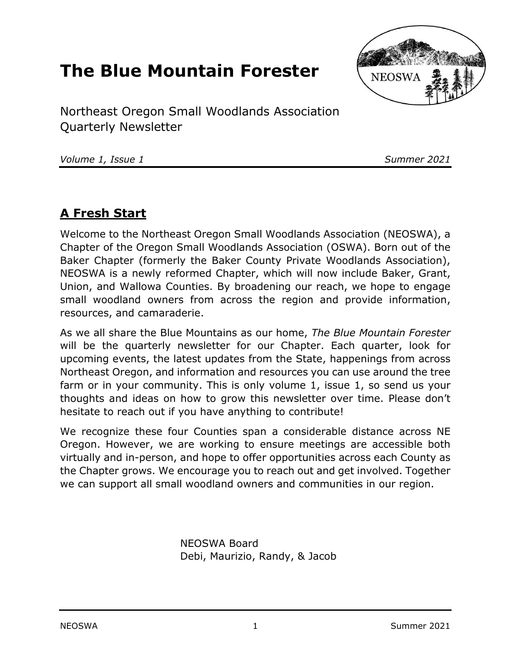# **The Blue Mountain Forester**



Northeast Oregon Small Woodlands Association Quarterly Newsletter

*Volume 1, Issue 1 Summer 2021*

### **A Fresh Start**

Welcome to the Northeast Oregon Small Woodlands Association (NEOSWA), a Chapter of the Oregon Small Woodlands Association (OSWA). Born out of the Baker Chapter (formerly the Baker County Private Woodlands Association), NEOSWA is a newly reformed Chapter, which will now include Baker, Grant, Union, and Wallowa Counties. By broadening our reach, we hope to engage small woodland owners from across the region and provide information, resources, and camaraderie.

As we all share the Blue Mountains as our home, *The Blue Mountain Forester* will be the quarterly newsletter for our Chapter. Each quarter, look for upcoming events, the latest updates from the State, happenings from across Northeast Oregon, and information and resources you can use around the tree farm or in your community. This is only volume 1, issue 1, so send us your thoughts and ideas on how to grow this newsletter over time. Please don't hesitate to reach out if you have anything to contribute!

We recognize these four Counties span a considerable distance across NE Oregon. However, we are working to ensure meetings are accessible both virtually and in-person, and hope to offer opportunities across each County as the Chapter grows. We encourage you to reach out and get involved. Together we can support all small woodland owners and communities in our region.

> NEOSWA Board Debi, Maurizio, Randy, & Jacob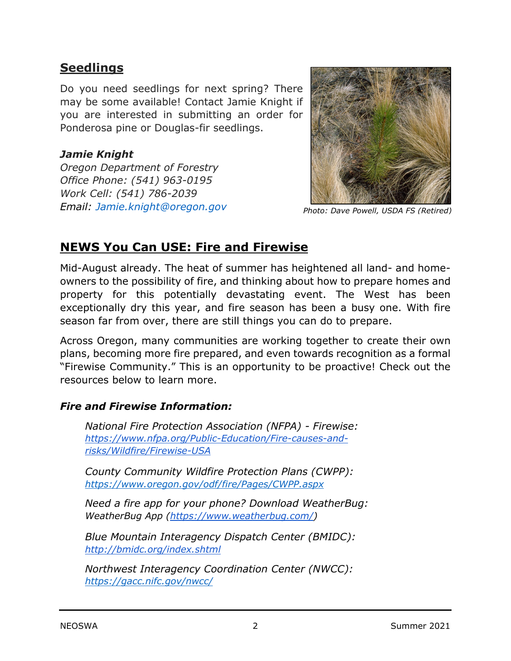### **Seedlings**

Do you need seedlings for next spring? There may be some available! Contact Jamie Knight if you are interested in submitting an order for Ponderosa pine or Douglas-fir seedlings.

#### *Jamie Knight*

*Oregon Department of Forestry Office Phone: (541) 963-0195 Work Cell: (541) 786-2039 Email: Jamie.knight@oregon.gov*



*Photo: Dave Powell, USDA FS (Retired)*

### **NEWS You Can USE: Fire and Firewise**

Mid-August already. The heat of summer has heightened all land- and homeowners to the possibility of fire, and thinking about how to prepare homes and property for this potentially devastating event. The West has been exceptionally dry this year, and fire season has been a busy one. With fire season far from over, there are still things you can do to prepare.

Across Oregon, many communities are working together to create their own plans, becoming more fire prepared, and even towards recognition as a formal "Firewise Community." This is an opportunity to be proactive! Check out the resources below to learn more.

#### *Fire and Firewise Information:*

*National Fire Protection Association (NFPA) - Firewise: [https://www.nfpa.org/Public-Education/Fire-causes-and](https://www.nfpa.org/Public-Education/Fire-causes-and-risks/Wildfire/Firewise-USA)[risks/Wildfire/Firewise-USA](https://www.nfpa.org/Public-Education/Fire-causes-and-risks/Wildfire/Firewise-USA)*

*County Community Wildfire Protection Plans (CWPP): <https://www.oregon.gov/odf/fire/Pages/CWPP.aspx>*

*Need a fire app for your phone? Download WeatherBug: WeatherBug App [\(https://www.weatherbug.com/\)](https://www.weatherbug.com/)*

*Blue Mountain Interagency Dispatch Center (BMIDC): <http://bmidc.org/index.shtml>*

*Northwest Interagency Coordination Center (NWCC): <https://gacc.nifc.gov/nwcc/>*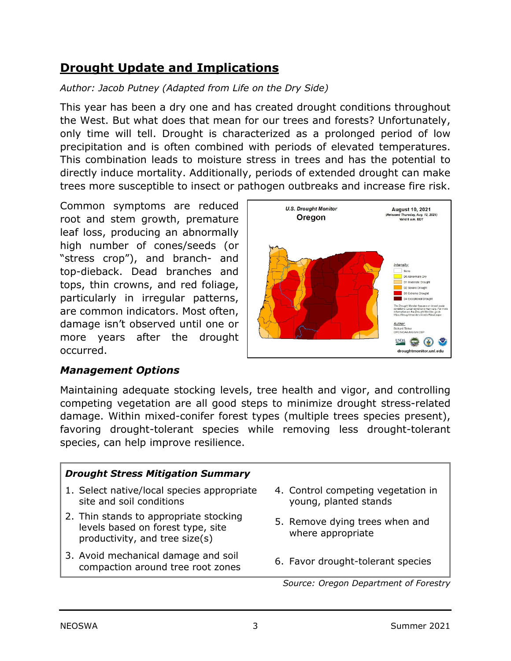# **Drought Update and Implications**

### *Author: Jacob Putney (Adapted from Life on the Dry Side)*

This year has been a dry one and has created drought conditions throughout the West. But what does that mean for our trees and forests? Unfortunately, only time will tell. Drought is characterized as a prolonged period of low precipitation and is often combined with periods of elevated temperatures. This combination leads to moisture stress in trees and has the potential to directly induce mortality. Additionally, periods of extended drought can make trees more susceptible to insect or pathogen outbreaks and increase fire risk.

Common symptoms are reduced root and stem growth, premature leaf loss, producing an abnormally high number of cones/seeds (or "stress crop"), and branch- and top-dieback. Dead branches and tops, thin crowns, and red foliage, particularly in irregular patterns, are common indicators. Most often, damage isn't observed until one or more years after the drought occurred.



#### *Management Options*

Maintaining adequate stocking levels, tree health and vigor, and controlling competing vegetation are all good steps to minimize drought stress-related damage. Within mixed-conifer forest types (multiple trees species present), favoring drought-tolerant species while removing less drought-tolerant species, can help improve resilience.

### *Drought Stress Mitigation Summary* 1. Select native/local species appropriate site and soil conditions 2. Thin stands to appropriate stocking levels based on forest type, site productivity, and tree size(s)

- 3. Avoid mechanical damage and soil Avoid inechanced damage and soll and soll of Favor drought-tolerant species compaction around tree root zones
- 4. Control competing vegetation in young, planted stands
- 5. Remove dying trees when and where appropriate
	-

*Source: Oregon Department of Forestry*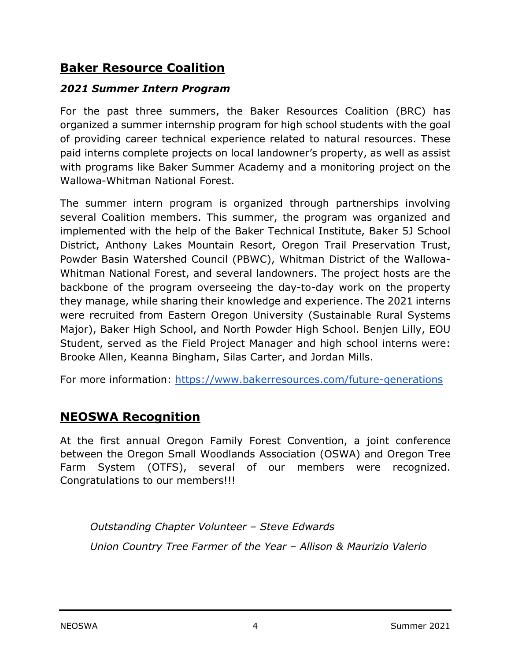## **Baker Resource Coalition**

### *2021 Summer Intern Program*

For the past three summers, the Baker Resources Coalition (BRC) has organized a summer internship program for high school students with the goal of providing career technical experience related to natural resources. These paid interns complete projects on local landowner's property, as well as assist with programs like Baker Summer Academy and a monitoring project on the Wallowa-Whitman National Forest.

The summer intern program is organized through partnerships involving several Coalition members. This summer, the program was organized and implemented with the help of the Baker Technical Institute, Baker 5J School District, Anthony Lakes Mountain Resort, Oregon Trail Preservation Trust, Powder Basin Watershed Council (PBWC), Whitman District of the Wallowa-Whitman National Forest, and several landowners. The project hosts are the backbone of the program overseeing the day-to-day work on the property they manage, while sharing their knowledge and experience. The 2021 interns were recruited from Eastern Oregon University (Sustainable Rural Systems Major), Baker High School, and North Powder High School. Benjen Lilly, EOU Student, served as the Field Project Manager and high school interns were: Brooke Allen, Keanna Bingham, Silas Carter, and Jordan Mills.

For more information:<https://www.bakerresources.com/future-generations>

# **NEOSWA Recognition**

At the first annual Oregon Family Forest Convention, a joint conference between the Oregon Small Woodlands Association (OSWA) and Oregon Tree Farm System (OTFS), several of our members were recognized. Congratulations to our members!!!

*Outstanding Chapter Volunteer – Steve Edwards Union Country Tree Farmer of the Year – Allison & Maurizio Valerio*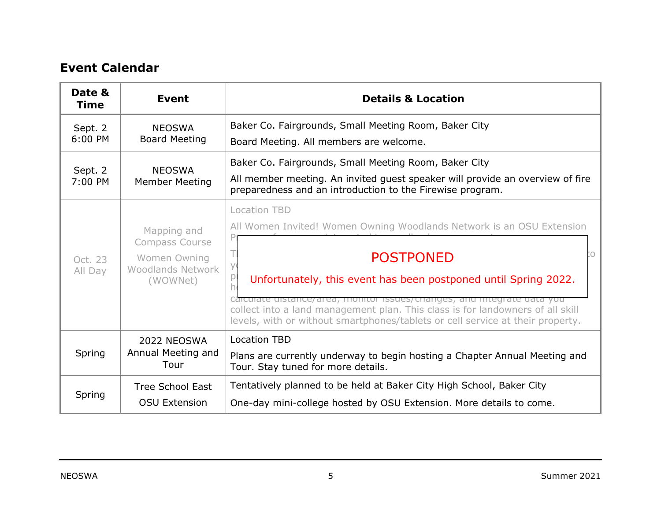### **Event Calendar**

| Date &<br><b>Time</b> | <b>Event</b>                                                                          | <b>Details &amp; Location</b>                                                                                                                                                                                                                                                                                                                                                                                                                         |
|-----------------------|---------------------------------------------------------------------------------------|-------------------------------------------------------------------------------------------------------------------------------------------------------------------------------------------------------------------------------------------------------------------------------------------------------------------------------------------------------------------------------------------------------------------------------------------------------|
| Sept. 2<br>$6:00$ PM  | <b>NEOSWA</b><br><b>Board Meeting</b>                                                 | Baker Co. Fairgrounds, Small Meeting Room, Baker City<br>Board Meeting. All members are welcome.                                                                                                                                                                                                                                                                                                                                                      |
| Sept. 2<br>7:00 PM    | <b>NEOSWA</b><br><b>Member Meeting</b>                                                | Baker Co. Fairgrounds, Small Meeting Room, Baker City<br>All member meeting. An invited guest speaker will provide an overview of fire<br>preparedness and an introduction to the Firewise program.                                                                                                                                                                                                                                                   |
| Oct. 23<br>All Day    | Mapping and<br>Compass Course<br>Women Owning<br><b>Woodlands Network</b><br>(WOWNet) | Location TBD<br>All Women Invited! Women Owning Woodlands Network is an OSU Extension<br>О<br><b>POSTPONED</b><br>У<br>$\mathsf{p}$<br>Unfortunately, this event has been postponed until Spring 2022.<br>carculate ulstance/area, monitor issues/changes, and integrate data you<br>collect into a land management plan. This class is for landowners of all skill<br>levels, with or without smartphones/tablets or cell service at their property. |
| Spring                | 2022 NEOSWA<br>Annual Meeting and<br>Tour                                             | <b>Location TBD</b><br>Plans are currently underway to begin hosting a Chapter Annual Meeting and<br>Tour. Stay tuned for more details.                                                                                                                                                                                                                                                                                                               |
| Spring                | <b>Tree School East</b><br><b>OSU Extension</b>                                       | Tentatively planned to be held at Baker City High School, Baker City<br>One-day mini-college hosted by OSU Extension. More details to come.                                                                                                                                                                                                                                                                                                           |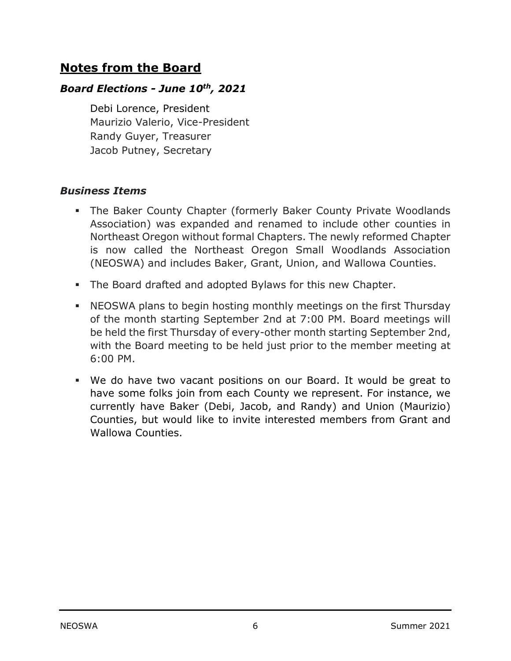### **Notes from the Board**

#### *Board Elections - June 10th, 2021*

Debi Lorence, President Maurizio Valerio, Vice-President Randy Guyer, Treasurer Jacob Putney, Secretary

#### *Business Items*

- The Baker County Chapter (formerly Baker County Private Woodlands Association) was expanded and renamed to include other counties in Northeast Oregon without formal Chapters. The newly reformed Chapter is now called the Northeast Oregon Small Woodlands Association (NEOSWA) and includes Baker, Grant, Union, and Wallowa Counties.
- The Board drafted and adopted Bylaws for this new Chapter.
- NEOSWA plans to begin hosting monthly meetings on the first Thursday of the month starting September 2nd at 7:00 PM. Board meetings will be held the first Thursday of every-other month starting September 2nd, with the Board meeting to be held just prior to the member meeting at 6:00 PM.
- We do have two vacant positions on our Board. It would be great to have some folks join from each County we represent. For instance, we currently have Baker (Debi, Jacob, and Randy) and Union (Maurizio) Counties, but would like to invite interested members from Grant and Wallowa Counties.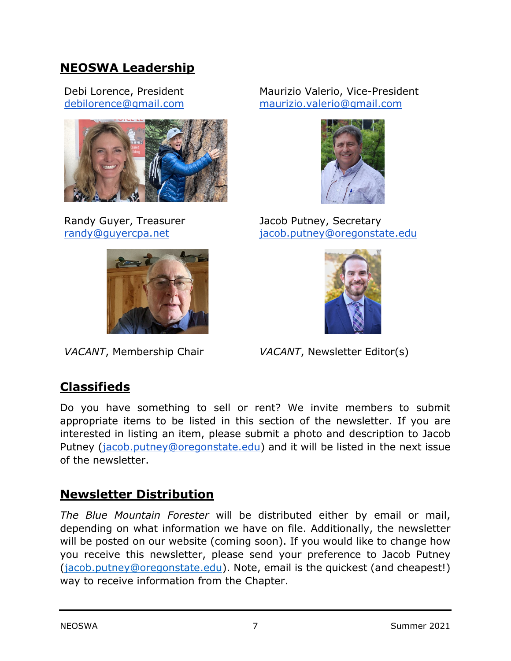### **NEOSWA Leadership**

Debi Lorence, President [debilorence@gmail.com](mailto:debilorence@gmail.com)



Randy Guyer, Treasurer [randy@guyercpa.net](mailto:randy@guyercpa.net)



#### Maurizio Valerio, Vice-President [maurizio.valerio@gmail.com](mailto:maurizio.valerio@gmail.com)



Jacob Putney, Secretary [jacob.putney@oregonstate.edu](mailto:jacob.putney@oregonstate.edu)



*VACANT*, Membership Chair *VACANT*, Newsletter Editor(s)

# **Classifieds**

Do you have something to sell or rent? We invite members to submit appropriate items to be listed in this section of the newsletter. If you are interested in listing an item, please submit a photo and description to Jacob Putney [\(jacob.putney@oregonstate.edu\)](mailto:jacob.putney@oregonstate.edu) and it will be listed in the next issue of the newsletter.

### **Newsletter Distribution**

*The Blue Mountain Forester* will be distributed either by email or mail, depending on what information we have on file. Additionally, the newsletter will be posted on our website (coming soon). If you would like to change how you receive this newsletter, please send your preference to Jacob Putney [\(jacob.putney@oregonstate.edu\)](mailto:jacob.putney@oregonstate.edu). Note, email is the quickest (and cheapest!) way to receive information from the Chapter.